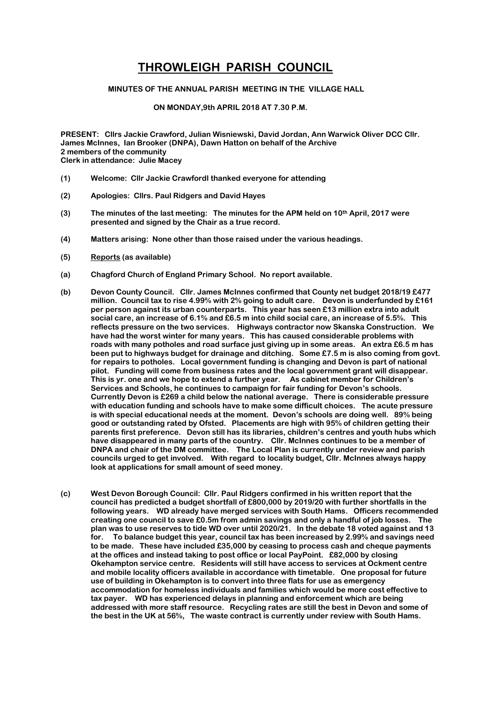## **THROWLEIGH PARISH COUNCIL**

## **MINUTES OF THE ANNUAL PARISH MEETING IN THE VILLAGE HALL**

## **ON MONDAY,9th APRIL 2018 AT 7.30 P.M.**

**PRESENT: Cllrs Jackie Crawford, Julian Wisniewski, David Jordan, Ann Warwick Oliver DCC Cllr. James McInnes, Ian Brooker (DNPA), Dawn Hatton on behalf of the Archive 2 members of the community Clerk in attendance: Julie Macey**

- **(1) Welcome: Cllr Jackie Crawfordl thanked everyone for attending**
- **(2) Apologies: Cllrs. Paul Ridgers and David Hayes**
- **(3) The minutes of the last meeting: The minutes for the APM held on 10th April, 2017 were presented and signed by the Chair as a true record.**
- **(4) Matters arising: None other than those raised under the various headings.**
- **(5) Reports (as available)**
- **(a) Chagford Church of England Primary School. No report available.**
- **(b) Devon County Council. Cllr. James McInnes confirmed that County net budget 2018/19 £477 million. Council tax to rise 4.99% with 2% going to adult care. Devon is underfunded by £161 per person against its urban counterparts. This year has seen £13 million extra into adult social care, an increase of 6.1% and £6.5 m into child social care, an increase of 5.5%. This reflects pressure on the two services. Highways contractor now Skanska Construction. We have had the worst winter for many years. This has caused considerable problems with roads with many potholes and road surface just giving up in some areas. An extra £6.5 m has been put to highways budget for drainage and ditching. Some £7.5 m is also coming from govt. for repairs to potholes. Local government funding is changing and Devon is part of national pilot. Funding will come from business rates and the local government grant will disappear. This is yr. one and we hope to extend a further year. As cabinet member for Children's Services and Schools, he continues to campaign for fair funding for Devon's schools. Currently Devon is £269 a child below the national average. There is considerable pressure with education funding and schools have to make some difficult choices. The acute pressure is with special educational needs at the moment. Devon's schools are doing well. 89% being good or outstanding rated by Ofsted. Placements are high with 95% of children getting their parents first preference. Devon still has its libraries, children's centres and youth hubs which have disappeared in many parts of the country. Cllr. McInnes continues to be a member of DNPA and chair of the DM committee. The Local Plan is currently under review and parish councils urged to get involved. With regard to locality budget, Cllr. McInnes always happy look at applications for small amount of seed money.**
- **(c) West Devon Borough Council: Cllr. Paul Ridgers confirmed in his written report that the council has predicted a budget shortfall of £800,000 by 2019/20 with further shortfalls in the following years. WD already have merged services with South Hams. Officers recommended creating one council to save £0.5m from admin savings and only a handful of job losses. The plan was to use reserves to tide WD over until 2020/21. In the debate 18 voted against and 13 for. To balance budget this year, council tax has been increased by 2.99% and savings need to be made. These have included £35,000 by ceasing to process cash and cheque payments at the offices and instead taking to post office or local PayPoint. £82,000 by closing Okehampton service centre. Residents will still have access to services at Ockment centre and mobile locality officers available in accordance with timetable. One proposal for future use of building in Okehampton is to convert into three flats for use as emergency accommodation for homeless individuals and families which would be more cost effective to tax payer. WD has experienced delays in planning and enforcement which are being addressed with more staff resource. Recycling rates are still the best in Devon and some of the best in the UK at 56%, The waste contract is currently under review with South Hams.**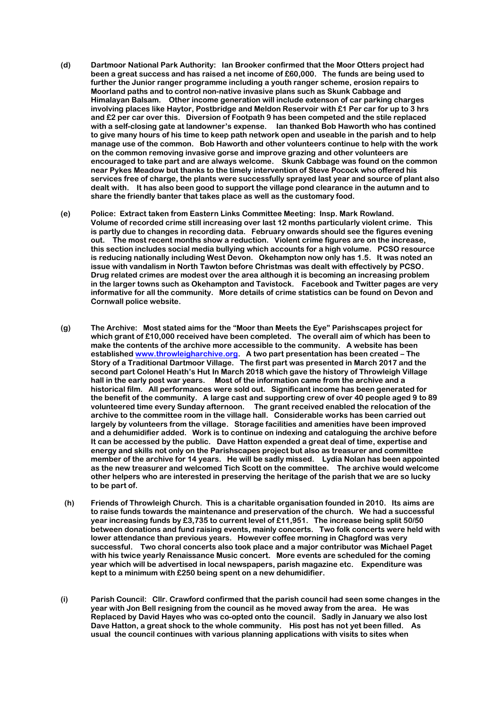- **(d) Dartmoor National Park Authority: Ian Brooker confirmed that the Moor Otters project had been a great success and has raised a net income of £60,000. The funds are being used to further the Junior ranger programme including a youth ranger scheme, erosion repairs to Moorland paths and to control non-native invasive plans such as Skunk Cabbage and Himalayan Balsam. Other income generation will include extenson of car parking charges involving places like Haytor, Postbridge and Meldon Reservoir with £1 Per car for up to 3 hrs and £2 per car over this. Diversion of Footpath 9 has been competed and the stile replaced with a self-closing gate at landowner's expense. Ian thanked Bob Haworth who has contined to give many hours of his time to keep path network open and useable in the parish and to help manage use of the common. Bob Haworth and other volunteers continue to help with the work on the common removing invasive gorse and improve grazing and other volunteers are encouraged to take part and are always welcome. Skunk Cabbage was found on the common near Pykes Meadow but thanks to the timely intervention of Steve Pocock who offered his services free of charge, the plants were successfully sprayed last year and source of plant also dealt with. It has also been good to support the village pond clearance in the autumn and to share the friendly banter that takes place as well as the customary food.**
- **(e) Police: Extract taken from Eastern Links Committee Meeting: Insp. Mark Rowland. Volume of recorded crime still increasing over last 12 months particularly violent crime. This is partly due to changes in recording data. February onwards should see the figures evening out. The most recent months show a reduction. Violent crime figures are on the increase, this section includes social media bullying which accounts for a high volume. PCSO resource is reducing nationally including West Devon. Okehampton now only has 1.5. It was noted an issue with vandalism in North Tawton before Christmas was dealt with effectively by PCSO. Drug related crimes are modest over the area although it is becoming an increasing problem in the larger towns such as Okehampton and Tavistock. Facebook and Twitter pages are very informative for all the community. More details of crime statistics can be found on Devon and Cornwall police website.**
- **(g) The Archive: Most stated aims for the "Moor than Meets the Eye" Parishscapes project for which grant of £10,000 received have been completed. The overall aim of which has been to make the contents of the archive more accessible to the community. A website has been established [www.throwleigharchive.org.](http://www.throwleigharchive.org/) A two part presentation has been created – The Story of a Traditional Dartmoor Village. The first part was presented in March 2017 and the second part Colonel Heath's Hut In March 2018 which gave the history of Throwleigh Village hall in the early post war years. Most of the information came from the archive and a historical film. All performances were sold out. Significant income has been generated for the benefit of the community. A large cast and supporting crew of over 40 people aged 9 to 89 volunteered time every Sunday afternoon. The grant received enabled the relocation of the archive to the committee room in the village hall. Considerable works has been carried out largely by volunteers from the village. Storage facilities and amenities have been improved and a dehumidifier added. Work is to continue on indexing and cataloguing the archive before It can be accessed by the public. Dave Hatton expended a great deal of time, expertise and energy and skills not only on the Parishscapes project but also as treasurer and committee member of the archive for 14 years. He will be sadly missed. Lydia Nolan has been appointed as the new treasurer and welcomed Tich Scott on the committee. The archive would welcome other helpers who are interested in preserving the heritage of the parish that we are so lucky to be part of.**
- **(h) Friends of Throwleigh Church. This is a charitable organisation founded in 2010. Its aims are to raise funds towards the maintenance and preservation of the church. We had a successful year increasing funds by £3,735 to current level of £11,951. The increase being split 50/50 between donations and fund raising events, mainly concerts. Two folk concerts were held with lower attendance than previous years. However coffee morning in Chagford was very successful. Two choral concerts also took place and a major contributor was Michael Paget with his twice yearly Renaissance Music concert. More events are scheduled for the coming year which will be advertised in local newspapers, parish magazine etc. Expenditure was kept to a minimum with £250 being spent on a new dehumidifier.**
- **(i) Parish Council: Cllr. Crawford confirmed that the parish council had seen some changes in the year with Jon Bell resigning from the council as he moved away from the area. He was Replaced by David Hayes who was co-opted onto the council. Sadly in January we also lost Dave Hatton, a great shock to the whole community. His post has not yet been filled. As usual the council continues with various planning applications with visits to sites when**